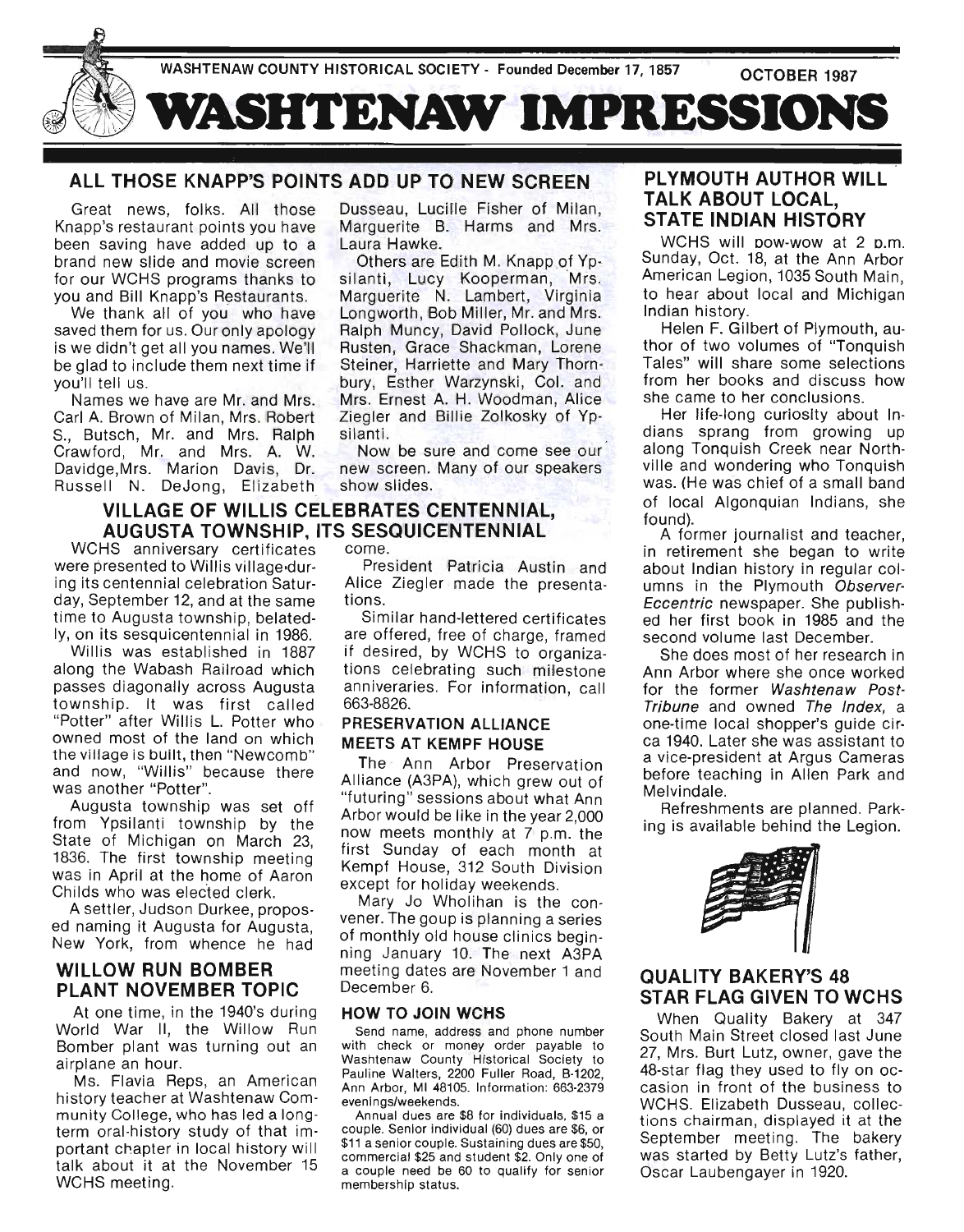

# ALL THOSE KNAPP'S POINTS ADD UP TO NEW SCREEN

Great news, folks. All those Dusseau, Lucille Fisher of Milan, Knapp's restaurant points you have Marguerite B. Harms and Mrs. been saving have added up to a Laura Hawke. brand new slide and movie screen Others are Edith M. Knapp of Ypfor our WCHS programs thanks to silanti, Lucy Kooperman, Mrs. you and Bill Knapp's Restaurants. Marguerite N. Lambert, Virginia

We thank all of you who have Longworth, Bob Miller, Mr. and Mrs. saved them for us. Our only apology Ralph Muncy, David Pollock, June is we didn't get all you names. We'll Rusten, Grace Shackman, Lorene be glad to include them next time if Steiner, Harriette and Mary Thornyou'll tell us. bury, Esther Warzynski, Col. and

Names we have are Mr. and Mrs. Mrs. Ernest A. H. Woodman, Alice Carl A. Brown of Milan, Mrs. Robert Ziegler and Billie Zolkosky of Yp-S., Butsch, Mr. and Mrs. Ralph silanti. Crawford, Mr. and Mrs. A. W. Now be sure and come see our Davidge,Mrs. Marion Davis, Dr. new screen. Many of our speakers Russell N. DeJong, Elizabeth show slides.

# VILLAGE OF WILLIS CELEBRATES CENTENNIAL, AUGUSTA TOWNSHIP, ITS SESQUICENTENNIAL

WCHS anniversary certificates come. were presented to Willis village-dur- President Patricia Austin and ing its centennial celebration Satur- Alice Ziegler made the presentaday, September 12, and at the same tions. time to Augusta township, belated- Similar hand-lettered certificates

along the Wabash Railroad which tions celebrating such milestone passes diagonally across Augusta anniveraries. For information, call township. It was first called 663-8826. "Potter" after Willis L. Potter who PRESERVATION ALLIANCE owned most of the land on which MEETS AT KEMPF HOUSE the village is built, then "Newcomb" and now, "Willis" because there was another "Potter".

Augusta township was set off from Ypsilanti township by the State of Michigan on March 23, 1836. The first township meeting was in April at the home of Aaron Childs who was elected clerk.

A settler, Judson Durkee, proposed naming it Augusta for Augusta, New York, from whence he had

## WILLOW RUN BOMBER PLANT NOVEMBER TOPIC

At one time, in the 1940's during World War II, the Willow Run Bomber plant was turning out an airplane an hour.

Ms. Flavia Reps, an American history teacher at Washtenaw Community College, who has led a longterm oral-history study of that important chapter in local history will talk about it at the November 15 WCHS meeting.

Iy, on its sesquicentennial in 1986. are offered, free of charge, framed Willis was established in 1887 if desired, by WCHS to organiza-

The Ann Arbor Preservation Alliance (A3PA), which grew out of "futuring" sessions about what Ann Arbor would be like in the year 2,000 now meets monthly at 7 p.m. the first Sunday of each month at Kempf House, 312 South Division except for holiday weekends.

Mary Jo Wholihan is the convener. The goup is planning a series of monthly old house clinics beginning January 10. The next A3PA meeting dates are November 1 and December 6.

### HOW TO JOIN WCHS

Send name, address and phone number with check or money order payable to Washtenaw County Historical Society to Pauline Walters, 2200 Fuller Road, B-1202, Ann Arbor, MI 48105. Information: 663-2379 evenings/weekends.

Annual dues are \$8 for individuals, \$15 a couple. Senior individual (60) dues are \$6, or \$11 a senior couple. Sustaining dues are \$50, commercial \$25 and student \$2. Only one of a couple need be 60 to qualify for senior membership status.

# PLYMOUTH AUTHOR WILL TALK ABOUT LOCAL, STATE INDIAN HISTORY

WCHS will bow-wow at 2 p.m. Sunday, Oct. 18, at the Ann Arbor American Legion, 1035 South Main, to hear about local and Michigan Indian history.

Helen F. Gilbert of Plymouth, author of two volumes of "Tonquish Tales" will share some selections from her books and discuss how she came to her conclusions.

Her life-long curiosity about Indians sprang from growing up along Tonquish Creek near Northville and wondering who Tonquish was. (He was chief of a small band of local Algonquian Indians, she found). A former journalist and teacher,

in retirement she began to write about Indian history in regular columns in the Plymouth Observer-Eccentric newspaper. She published her first book in 1985 and the second volume last December.

She does most of her research in Ann Arbor where she once worked for the former Washtenaw Post-Tribune and owned The Index, a one-time local shopper's guide circa 1940. Later she was assistant to a vice-president at Argus Cameras before teaching in Allen Park and Melvindale.

Refreshments are planned. Parking is available behind the Legion.



# QUALITY BAKERY'S 48 STAR FLAG GIVEN TO WCHS

When Quality Bakery at 347 South Main Street closed last June 27, Mrs. Burt Lutz, owner, gave the 48-star flag they used to fly on occasion in front of the business to WCHS. Elizabeth Dusseau, collections chairman, displayed it at the September meeting. The bakery was started by Betty Lutz's father, Oscar Laubengayer in 1920.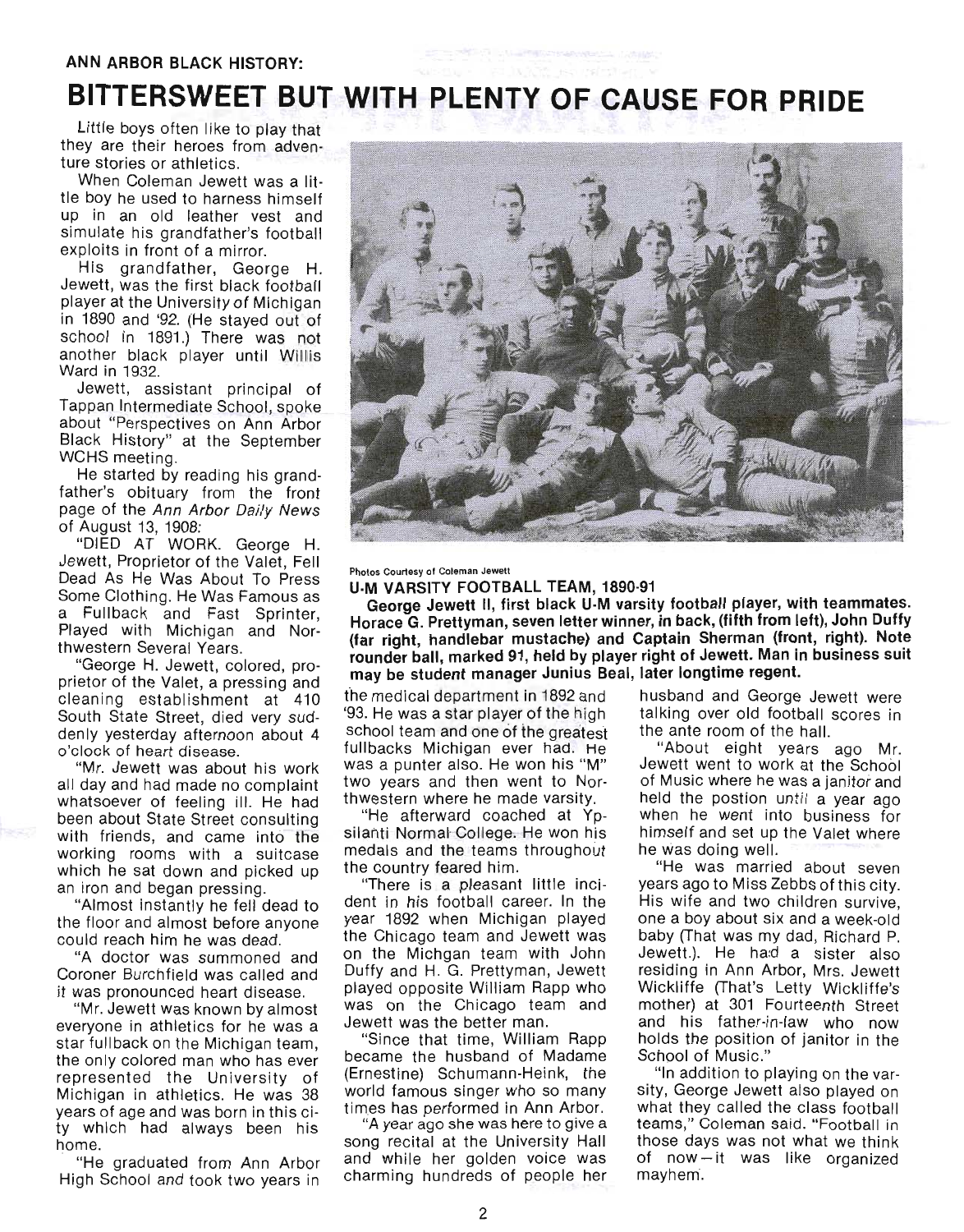# **BITTERSWEET BUT WITH PLENTY OF CAUSE FOR PRIDE**

Little boys often like to play that they are their heroes from adventure stories or athletics.

When Coleman Jewett was a little boy he used to harness himself up in an old leather vest and simulate his grandfather's football exploits in front of a mirror.

His grandfather, George H. Jewett, was the first black football player at the University of Michigan in 1890 and '92. (He stayed out of school in 1891.) There was not another black player until Willis Ward in 1932.

Jewett, assistant principal of Tappan Intermediate School, spoke about "Perspectives on Ann Arbor Black History" at the September WCHS meeting.

He started by reading his grandfather's obituary from the front page of the Ann Arbor Daily News of August 13, 1908:

"DIED AT WORK. George H. Jewett, Proprietor of the Valet, Fell Dead As He Was About To Press Some Clothing. He Was Famous as a Fullback and Fast Sprinter, Played with Michigan and Northwestern Several Years.

"George H. Jewett, colored, proprietor of the Valet, a pressing and cleaning establishment at 410 South State Street, died very suddenly yesterday afternoon about 4 o'clock of heart disease.

"Mr. Jewett was about his work all day and had made no complaint whatsoever of feeling ill. He had been about State Street consulting with friends, and came into the working rooms with a suitcase which he sat down and picked up an iron and began pressing.

"Almost instantly he fell dead to the floor and almost before anyone could reach him he was dead.

"A doctor was summoned and Coroner Burchfield was called and it was pronounced heart disease.

"Mr. Jewett was known by almost everyone in athletics for he was a star fullback on the Michigan team, the only colored man who has ever represented the University of Michigan in athletics. He was 38 years of age and was born in this city which had always been his home.

"He graduated from Ann Arbor High School and took two years in



Photos Courtesy 01 Coleman Jewett

U-M VARSITY FOOTBALL TEAM, 1890·91

George Jewett II, first black U·M varsity football player, with teammates. Horace G. Prettyman, seven letter winner, in back, (fifth from left), John Duffy (far right, handlebar mustache) and Captain Sherman (front, right). Note rounder ball, marked 91, held by player right of Jewett. Man in business suit may be student manager Junius Beal, later longtime regent.

the medical department in 1892 and husband and George Jewett were '93. He was a star player of the high talking over old football scores in school team and one of the greatest the ante room of the hall. fullbacks Michigan ever had. He "About eight years ago Mr. was a punter also. He won his "M" Jewett went to work at the School two years and then went to Nor- of Music where he was a janitor and thwestern where he made varsity. held the postion until a year ago

silanti Normal College. He won his himself and set up the Valet where medals and the teams throughout he was doing well. the country feared him. "He was married about seven

dent in his football career. In the His wife and two children survive, year 1892 when Michigan played one a boy about six and a week-old the Chicago team and Jewett was baby (That was my dad, Richard P. on the Michgan team with John Jewett.). He ha:d a sister also Duffy and H. G. Prettyman, Jewett residing in Ann Arbor, Mrs. Jewett played oppOSite William Rapp who Wickliffe (That's Letty Wickliffe's was on the Chicago team and mother) at 301 Fourteenth Street Jewett was the better man. and his father-in-law who now

became the husband of Madame School of Music." (Ernestine) Schumann-Heink, the "In addition to playing on the varworld famous singer who so many sity, George Jewett also played on

song recital at the University Hall those days was not what we think and while her golden voice was of now-it was like organized charming hundreds of people her mayhem.

"He afterward coached at Yp- when he went into business for

"There is a pleasant little inci- years ago to Miss Zebbs of this city. "Since that time, William Rapp holds the position of janitor in the

times has performed in Ann Arbor. what they called the class football "A year ago she was here to givea teams," Coleman said. "Football in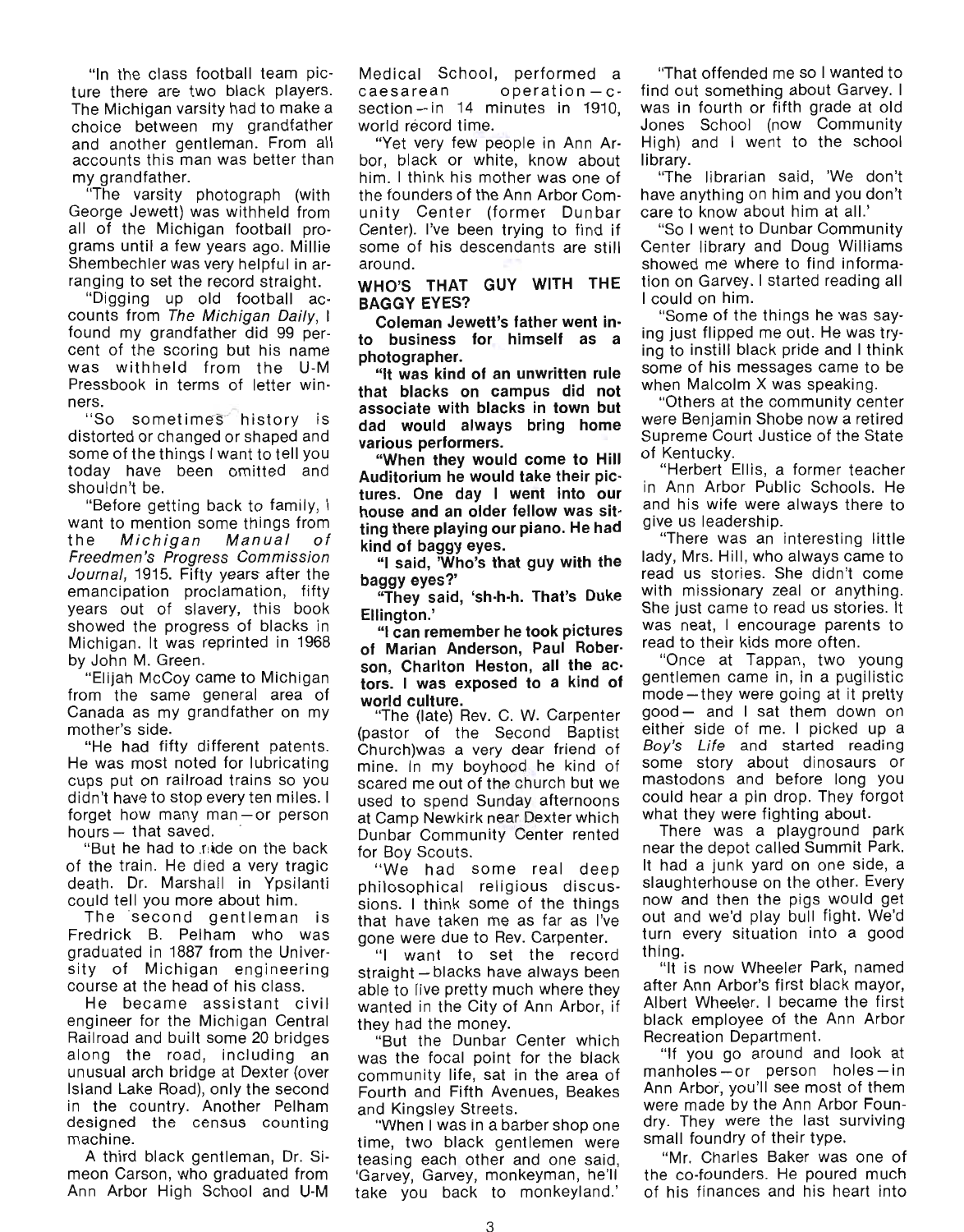"In the class football team picture there are two black players. The Michigan varsity had to make a choice between my grandfather and another gentleman. From all accounts this man was better than my grandfather.

"The varsity photograph (with George Jewett) was withheld from all of the Michigan football programs until a few years ago. Millie Shembechler was very helpful in arranging to set the record straight.

"Digging up old football accounts from The Michigan Daily, I found my grandfather did 99 percent of the scoring but his name was withheld from the U-M Pressbook in terms of letter winners.

"So sometimes history is distorted or changed or shaped and some of the things I want to tell you today have been om itted and shouldn't be.

"Before getting back to family, I want to mention some things from the Michigan Manual of Freedmen 's Progress Commission Journal, 1915. Fifty years after the emancipation proclamation, fifty years out of slavery, this book showed the progress of blacks in Michigan. It was reprinted in 1968 by John M. Green.

"Elijah McCoy came to Michigan from the same general area of Canada as my grandfather on my mother's side.

"He had fifty different patents. He was most noted for lubricating cups put on railroad trains so you didn't have to stop every ten miles. I forget how many man  $-$  or person hours  $-$  that saved.

'But he had to raide on the back of the train. He died a very tragic death. Dr. Marshall in Ypsilanti could tell you more about him.

The 'second gentleman is Fredrick B. Pelham who was graduated in 1887 from the University of Michigan engineering course at the head of his class.

He became assistant civil engineer for the Michigan Central Railroad and built some 20 bridges along the road, including an unusual arch bridge at Dexter (over Island Lake Road), only the second in the country. Another Pelham designed the census counting machine.

A third black gentleman, Dr. Simeon Carson, who graduated from Ann Arbor High School and U-M

Medical School, performed a  $caesarea n$  operation  $-c$  $section - in$  14 minutes in 1910. world record time.

"Yet very few people in Ann Arbor, black or white, know about him. I think his mother was one of the founders of the Ann Arbor Comunity Center (former Dunbar Center). I've been trying to find if some of his descendants are still around.

WHO'S THAT GUY WITH THE BAGGY EYES?

Coleman Jewett's father went into business for himself as a photographer.

"It was kind of an unwritten rule that blacks on campus did not associate with blacks in town but dad would always bring home various performers.

"When they would come to Hill Auditorium he would take their pictures. One day I went into our house and an older fellow was sitting there playing our piano. He had kind of baggy eyes.

"I said, 'Who's that guy with the baggy eyes?'

"They said, 'sh-h·h. That's Duke Ellington.'

"I can remember he took pictures of Marian Anderson, Paul Rober· son, Charlton Heston, all the ac· tors. I was exposed to a kind of

world culture.<br>"The (late) Rev. C. W. Carpenter (pastor of the Second Baptist Church)was a very dear friend of mine. In my boyhood he kind of scared me out of the church but we used to spend Sunday afternoons at Camp Newkirk near Dexter which Dunbar Community Center rented for Boy Scouts.

" We had some real deep philosophical religious discussions. I think some of the things that have taken me as far as I've gone were due to Rev. Carpenter.

"I want to set the record straight - blacks have always been able to live pretty much where they wanted in the City of Ann Arbor, if they had the money.

"But the Dunbar Center which was the focal point for the black community life, sat in the area of Fourth and Fifth Avenues, Beakes and Kingsley Streets.

"When I was in a barber shop one time, two black gentlemen were teasing each other and one said, 'Garvey, Garvey, monkeyman, he'll take you back to monkeyland.'

"That offended me so I wanted to find out something about Garvey. I was in fourth or fifth grade at old Jones School (now Community High) and I went to the school library.

"The librarian said, 'We don't have anything on him and you don't care to know about him at all.'

"So I went to Dunbar Community Center library and Doug Williams showed me where to find information on Garvey. I started reading all I could on him.

"Some of the things he was saying just flipped me out. He was trying to instill black pride and I think some of his messages came to be when Malcolm X was speaking.

"Others at the community center were Benjamin Shobe now a retired Supreme Court Justice of the State of Kentucky.

"Herbert Ellis, a former teacher in Ann Arbor Public Schools. He and his wife were always there to give us leadership.

"There was an interesting little lady, Mrs. Hill, who always came to read us stories. She didn't come with missionary zeal or anything. She just came to read us stories. It was neat, I encourage parents to read to their kids more often.

"Once at Tappan, two young gentlemen came in, in a pugilistic mode-they were going at it pretty good - and I sat them down on either side of me. I picked up a Boy's Life and started reading some story about dinosaurs or mastodons and before long you could hear a pin drop. They forgot what they were fighting about.

There was a playground park near the depot called Summit Park. It had a junk yard on one side, a slaughterhouse on the other. Every now and then the pigs would get out and we'd play bull fight. We'd turn every situation into a good thing.

"It is now Wheeler Park, named after Ann Arbor's first black mayor, Albert Wheeler. I became the first black employee of the Ann Arbor Recreation Department.

"If you go around and look at  $manholes - or person holes - in$ Ann Arbor, you'll see most of them were made by the Ann Arbor Foundry. They were the last surviving small foundry of their type.

"Mr. Charles Baker was one of the co-founders. He poured much of his finances and his heart into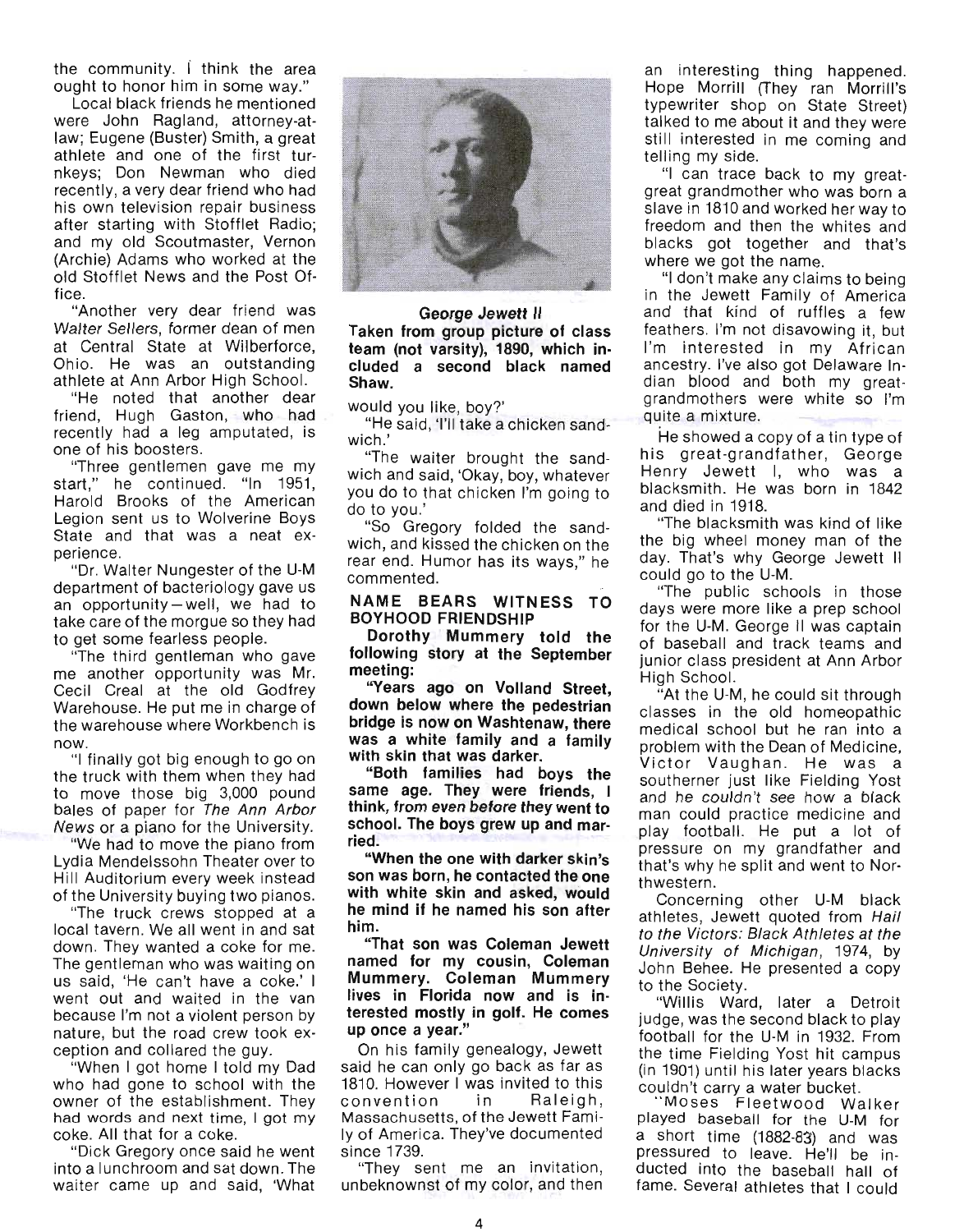the community. i think the area ought to honor him in some way."

Local black friends he mentioned were John Ragland, attorney-atlaw; Eugene (Buster) Smith, a great athlete and one of the first turnkeys; Don Newman who died recently, a very dear friend who had his own television repair business after starting with Stofflet Radio; and my old Scoutmaster, Vernon (Archie) Adams who worked at the old Stofflet News and the Post Office.

"Another very dear friend was Walter Sellers, former dean of men at Central State at Wilberforce, Ohio. He was an outstanding athlete at Ann Arbor High School.

"He noted that another dear friend, Hugh Gaston, who had recently had a leg amputated, is one of his boosters.

"Three gentlemen gave me my start," he continued. "In 1951, Harold Brooks of the American Legion sent us to Wolverine Boys State and that was a neat experience.

"Dr. Walter Nungester of the U-M department of bacteriology gave us an opportunity-well, we had to take care of the morgue so they had to get some fearless people.

"The third gentleman who gave me another opportunity was Mr. Cecil Creal at the old Godfrey Warehouse. He put me in charge of the warehouse where Workbench is

now. "I finally got big enough to go on the truck with them when they had to move those big 3,000 pound bales of paper for The Ann Arbor News or a piano for the University.

"We had to move the piano from Lydia Mendelssohn Theater over to Hill Auditorium every week instead of the University buying two pianos.

"The truck crews stopped at a local tavern. We all went in and sat down. They wanted a coke for me. The gentleman who was waiting on us said, 'He can 't have a coke.' I went out and waited in the van because I'm not a violent person by nature, but the road crew took exception and collared the guy.

"When I got home I told my Dad who had gone to school with the owner of the establishment. They had words and next time. I got my coke. All that for a coke.

"Dick Gregory once said he went into a lunchroom and sat down. The waiter came up and said, 'What



**George Jewett II Taken from group picture of class team (not varsity), 1890, which included a second black named Shaw.** 

would you like, boy?'

"He said, 'I'll take a chicken sandwich.'

"The waiter brought the sandwich and said, 'Okay, boy, whatever you do to that chicken **I'm** going to do to you .'

"So Gregory folded the sandwich, and kissed the chicken on the rear end. Humor has its ways," he commented.

#### **NAME BEARS WITNESS TO BOYHOOD FRIENDSHIP**

**Dorothy Mummery told the following story at the September meeting:** 

**"Years ago on Volland Street, down below where the pedestrian bridge is now on Washtenaw, there was a white family and a family with skin that was darker.** 

**"Both families had boys the same age. They were friends, I think, from even before they went to school. The boys grew up and married.** 

**"When the one with darker skin's son was born, he contacted the one with white skin and asked, would he mind if he named his son after him.** 

**"That son was Coleman Jewett named for my cousin, Coleman Mummery. Coleman Mummery lives in Florida now and is interested mostly in golf. He comes up once a year."** 

On his family genealogy, Jewett said he can only go back as far as 1810. However I was invited to this convention in Raleigh, Massachusetts, of the Jewett Family of America. They've documented since 1739.

"They sent me an invitation, unbeknownst of my color, and then

an interesting thing happened. Hope Morrill (They ran Morrill's typewriter shop on State Street) talked to me about it and they were still interested in me coming and telling my side.

"I can trace back to my greatgreat grandmother who was born a slave in 1810 and worked her way to freedom and then the whites and blacks got together and that's where we got the name.

"I don't make any claims to being in the Jewett Family of America and that kind of ruffles a few feathers. I'm not disavowing it, but I'm interested in my African ancestry. I've also got Delaware Indian blood and both my greatgrandmothers were white so I'm quite a mixture.

He showed a copy of a tin type of his great-grandfather, George Henry Jewett I, who was a blacksmith. He was born in 1842 and died in 1918.

"The blacksmith was kind of like the big wheel money man of the day. That's why George Jewett II could go to the U-M.

"The public schools in those days were more like a prep school for the U-M. George II was captain of baseball and track teams and junior class president at Ann Arbor High School.

"At the U-M, he could sit through classes in the old homeopathic medical school but he ran into a problem with the Dean of Medicine, Victor Vaughan. He was a southerner just like Fielding Yost and he couldn't see how a black man could practice medicine and play football. He put a lot of pressure on my grandfather and that's why he split and went to Northwestern.

Concerning other U-M black athletes, Jewett quoted from Hail to the Victors: Black Athletes at the University of Michigan, 1974, by John Behee. He presented a copy to the Society.

"Willis Ward, later a Detroit judge, was the second black to play football for the U-M in 1932. From the time Fielding Yost hit campus (in 1901) until his later years blacks couldn't carry a water bucket. " Moses Fleetwood Wal ker

played baseball for the U-M for a short time (1882-83) and was pressured to leave. He'll be inducted into the baseball hall of fame. Several athletes that I could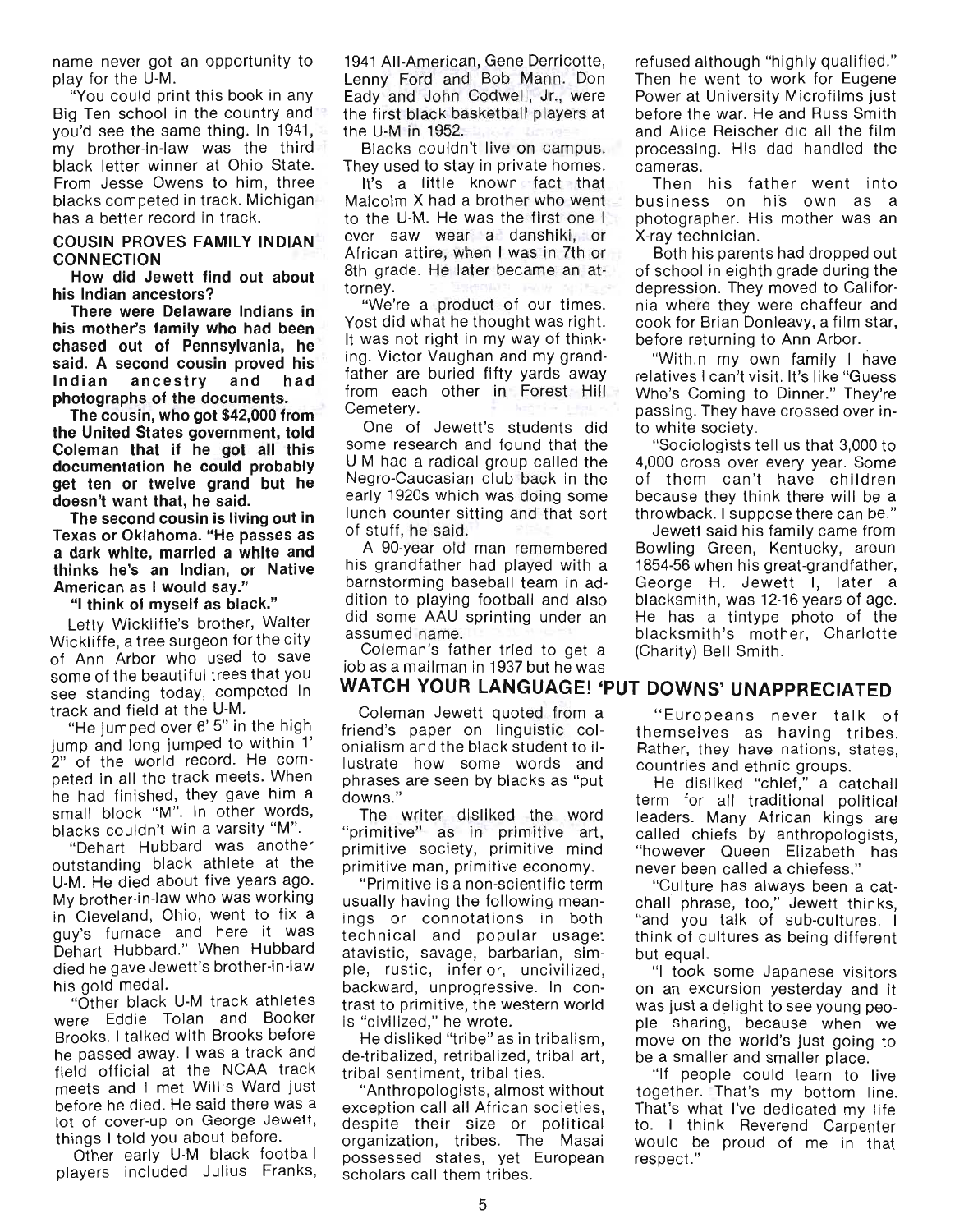name never got an opportunity to play for the U-M.

"You could print this book in any Big Ten school in the country and you'd see the same thing. In 1941, my brother-in-law was the third black letter winner at Ohio State. From Jesse Owens to him, three blacks competed in track. Michigan has a better record in track.

#### COUSIN PROVES FAMILY INDIAN **CONNECTION**

How did Jewett find out about his Indian ancestors?

There were Delaware Indians in his mother's family who had been chased out of Pennsylvania, he said. A second cousin proved his Indian ancestry and had photographs of the documents.

The cousin, who got \$42,000 from the United States government, told Coleman that if he got all this documentation he could probably get ten or twelve grand but he doesn't want that, he said.

The second cousin is living out in Texas or Oklahoma. "He passes as a dark white, married a white and thinks he's an Indian, or Native American as I would say."

"I think of myself as black."

Letty Wickliffe's brother, Walter Wickliffe, a tree surgeon for the city of Ann Arbor who used to save some of the beautiful trees that you see standing today, competed in track and field at the U-M.

"He jumped over 6' 5" in the high jump and long jumped to within 1' 2" of the world record. He competed in all the track meets. When he had finished, they gave him a small block "M". In other words, blacks couldn't win a varsity "M".

"Dehart Hubbard was another outstanding black athlete at the U-M. He died about five years ago. My brother-in-law who was working in Cleveland, Ohio, went to fix a guy's furnace and here it was Dehart Hubbard." When Hubbard died he gave Jewett's brother-in-law his gold medal.

"Other black U-M track athletes were Eddie Tolan and Booker Brooks. I talked with Brooks before he passed away. I was a track and field official at the NCAA track meets and I met Willis Ward just before he died. He said there was a lot of cover-up on George Jewett, things I told you about before.

Other early U-M black football players included Julius Franks,

1941 All-American, Gene Derricotte, Lenny Ford and Bob Mann. Don Eady and John Codwell, Jr., were the first black basketball players at the U-M in 1952.

Blacks couldn't live on campus. They used to stay in private homes.

It's a little known fact that Malcolm X had a brother who went to the U-M. He was the first one I ever saw wear a danshiki, or African attire, when I was in 7th or 8th grade. He later became an attorney.

"We're a product of our times. Yost did what he thought was right. It was not right in my way of thinking. Victor Vaughan and my grandfather are buried fifty yards away from each other in Forest Hill Cemetery.

One of Jewett's students did some research and found that the U-M had a radical group called the Negro-Caucasian club back in the early 1920s which was doing some lunch counter sitting and that sort of stuff, he said.

A gO-year old man remembered his grandfather had played with a barnstorming baseball team in addition to playing football and also did some AAU sprinting under an assumed name.

Coleman's father tried to get a iob as a mailman in 1937 but he was

Coleman Jewett quoted from a friend's paper on linguistic colonialism and the black student to illustrate how some words and phrases are seen by blacks as "put downs."

The writer disliked the word "primitive" as in primitive art, primitive society, primitive mind primitive man, primitive economy.

"Primitive is a non-scientific term usually having the following meanings or connotations in both technical and popular usage: atavistic, savage, barbarian, simple, rustic, inferior, uncivilized, backward, unprogressive. In contrast to primitive, the western world is "civilized," he wrote.

He disliked "tribe" as in tribalism , de-tribalized, retribalized, tribal art, tribal sentiment, tribal ties.

"Anthropologists, almost without exception call all African societies, despite their size or political organization, tribes. The Masai possessed states, yet European scholars call them tribes.

refused although "highly qualified." Then he went to work for Eugene Power at University Microfilms just before the war. He and Russ Smith and Alice Reischer did all the film proceSSing. His dad handled the cameras.

Then his father went into business on his own as a photographer. His mother was an X-ray technician.

Both his parents had dropped out of school in eighth grade during the depression. They moved to California where they were chaffeur and cook for Brian Donleavy, a film star, before returning to Ann Arbor.

"Within my own family I have relatives I can't visit. It's like "Guess Who's Coming to Dinner." They're passing. They have crossed over into white society.

"Sociologists tell us that 3,000 to 4,000 cross over every year. Some of them can 't have children because they think there will be a throwback. I suppose there can be."

Jewett said his family came from Bowling Green, Kentucky, aroun 1854-56 when his great-grandfather, George H. Jewett I, later a blacksmith, was 12-16 years of age. He has a tintype photo of the blacksmith's mother, Charlotte (Charity) Bell Smith.

# WATCH YOUR LANGUAGE! 'PUT DOWNS' UNAPPRECIATED

" Europeans never talk of themselves as having tribes. Rather, they have nations, states, countries and ethnic groups.

He disliked "chief," a catchall term for all traditional political leaders. Many African kings are called chiefs by anthropologists, "however Queen Elizabeth has never been called a chiefess."

"Culture has always been a catchall phrase, too," Jewett thinks, "and you talk of sub-cultures. I think of cultures as being different but equal.

"I took some Japanese visitors on an excursion yesterday and it was just a delight to see young people sharing, because when we move on the world's just going to be a smaller and smaller place.

"If people could learn to live together. That's my bottom line. That's what I've dedicated my life to. I think Reverend Carpenter would be proud of me in that respect."